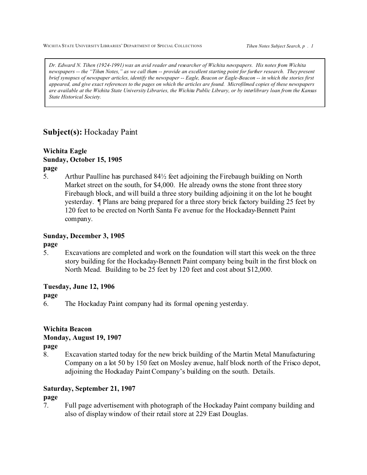WICHITA STATE UNIVERSITY LIBRARIES' DEPARTMENT OF SPECIAL COLLECTIONS **Tihen Notes Subject Search, p** . 1

*Dr. Edward N. Tihen (1924-1991) was an avid reader and researcher of Wichita newspapers. His notes from Wichita newspapers -- the "Tihen Notes," as we call them -- provide an excellent starting point for further research. They present brief synopses of newspaper articles, identify the newspaper -- Eagle, Beacon or Eagle-Beacon -- in which the stories first appeared, and give exact references to the pages on which the articles are found. Microfilmed copies of these newspapers are available at the Wichita State University Libraries, the Wichita Public Library, or by interlibrary loan from the Kansas State Historical Society.*

# **Subject(s):** Hockaday Paint

# **Wichita Eagle Sunday, October 15, 1905**

**page**

5. Arthur Paulline has purchased 84½ feet adjoining the Firebaugh building on North Market street on the south, for \$4,000. He already owns the stone front three story Firebaugh block, and will build a three story building adjoining it on the lot he bought yesterday. ¶ Plans are being prepared for a three story brick factory building 25 feet by 120 feet to be erected on North Santa Fe avenue for the Hockaday-Bennett Paint company.

# **Sunday, December 3, 1905**

**page**

5. Excavations are completed and work on the foundation will start this week on the three story building for the Hockaday-Bennett Paint company being built in the first block on North Mead. Building to be 25 feet by 120 feet and cost about \$12,000.

# **Tuesday, June 12, 1906**

**page**

6. The Hockaday Paint company had its formal opening yesterday.

# **Wichita Beacon**

## **Monday, August 19, 1907**

**page**

8. Excavation started today for the new brick building of the Martin Metal Manufacturing Company on a lot 50 by 150 feet on Mosley avenue, half block north of the Frisco depot, adjoining the Hockaday Paint Company's building on the south. Details.

## **Saturday, September 21, 1907**

## **page**

7. Full page advertisement with photograph of the Hockaday Paint company building and also of display window of their retail store at 229 East Douglas.